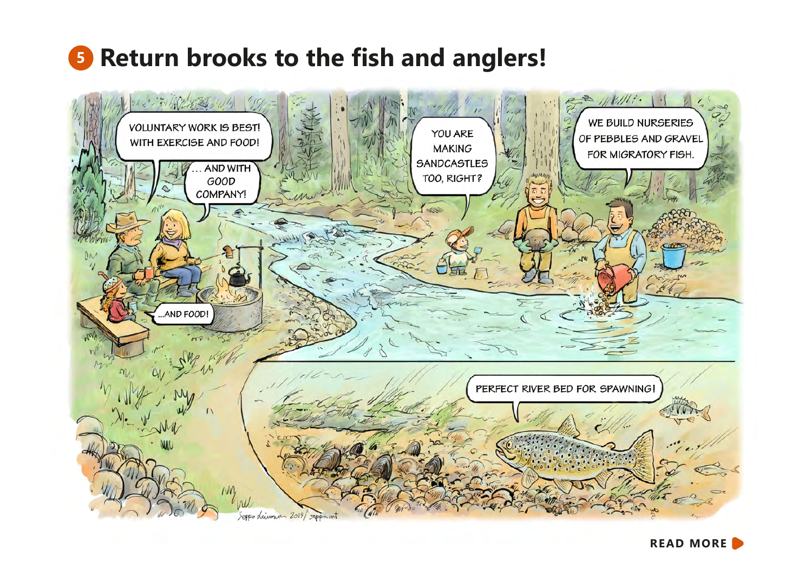## **<sup>5</sup> Return brooks to the fish and anglers!**